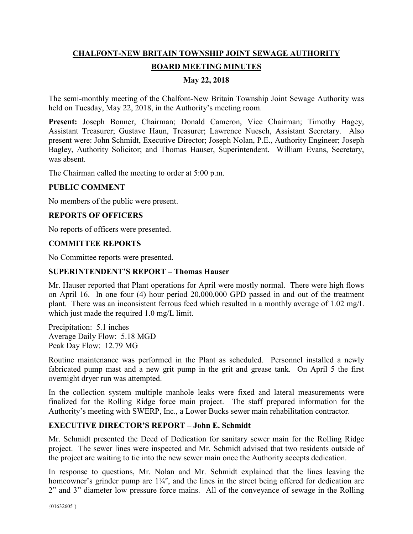# **CHALFONT-NEW BRITAIN TOWNSHIP JOINT SEWAGE AUTHORITY BOARD MEETING MINUTES**

# **May 22, 2018**

The semi-monthly meeting of the Chalfont-New Britain Township Joint Sewage Authority was held on Tuesday, May 22, 2018, in the Authority's meeting room.

Present: Joseph Bonner, Chairman; Donald Cameron, Vice Chairman; Timothy Hagey, Assistant Treasurer; Gustave Haun, Treasurer; Lawrence Nuesch, Assistant Secretary. Also present were: John Schmidt, Executive Director; Joseph Nolan, P.E., Authority Engineer; Joseph Bagley, Authority Solicitor; and Thomas Hauser, Superintendent. William Evans, Secretary, was absent.

The Chairman called the meeting to order at 5:00 p.m.

#### **PUBLIC COMMENT**

No members of the public were present.

## **REPORTS OF OFFICERS**

No reports of officers were presented.

#### **COMMITTEE REPORTS**

No Committee reports were presented.

#### **SUPERINTENDENT'S REPORT – Thomas Hauser**

Mr. Hauser reported that Plant operations for April were mostly normal. There were high flows on April 16. In one four (4) hour period 20,000,000 GPD passed in and out of the treatment plant. There was an inconsistent ferrous feed which resulted in a monthly average of 1.02 mg/L which just made the required 1.0 mg/L limit.

Precipitation: 5.1 inches Average Daily Flow: 5.18 MGD Peak Day Flow: 12.79 MG

Routine maintenance was performed in the Plant as scheduled. Personnel installed a newly fabricated pump mast and a new grit pump in the grit and grease tank. On April 5 the first overnight dryer run was attempted.

In the collection system multiple manhole leaks were fixed and lateral measurements were finalized for the Rolling Ridge force main project. The staff prepared information for the Authority's meeting with SWERP, Inc., a Lower Bucks sewer main rehabilitation contractor.

#### **EXECUTIVE DIRECTOR'S REPORT – John E. Schmidt**

Mr. Schmidt presented the Deed of Dedication for sanitary sewer main for the Rolling Ridge project. The sewer lines were inspected and Mr. Schmidt advised that two residents outside of the project are waiting to tie into the new sewer main once the Authority accepts dedication.

In response to questions, Mr. Nolan and Mr. Schmidt explained that the lines leaving the homeowner's grinder pump are  $1\frac{1}{4}$ , and the lines in the street being offered for dedication are 2" and 3" diameter low pressure force mains. All of the conveyance of sewage in the Rolling